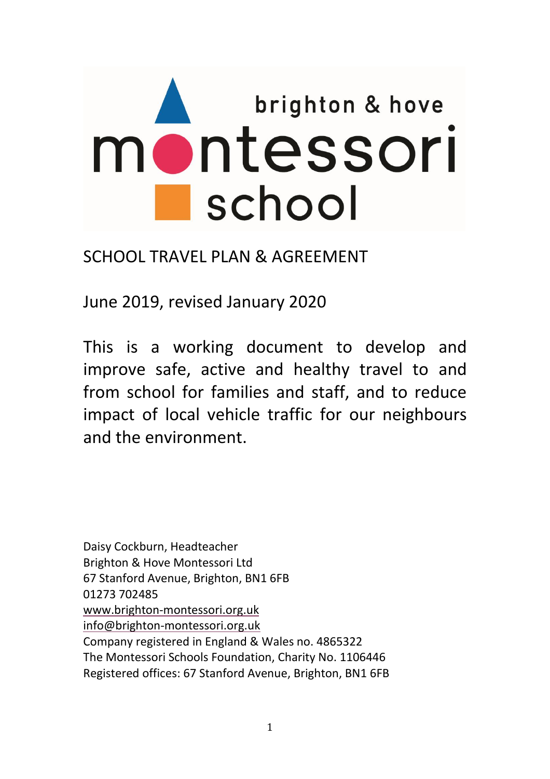# brighton & hove montessori **School**

SCHOOL TRAVEL PLAN & AGREEMENT

June 2019, revised January 2020

This is a working document to develop and improve safe, active and healthy travel to and from school for families and staff, and to reduce impact of local vehicle traffic for our neighbours and the environment.

Daisy Cockburn, Headteacher Brighton & Hove Montessori Ltd 67 Stanford Avenue, Brighton, BN1 6FB 01273 702485 [www.brighton-montessori.org.uk](http://www.brighton-montessori.org.uk/) [info@brighton-montessori.org.uk](mailto:info@brighton-montessori.org.uk) Company registered in England & Wales no. 4865322 The Montessori Schools Foundation, Charity No. 1106446 Registered offices: 67 Stanford Avenue, Brighton, BN1 6FB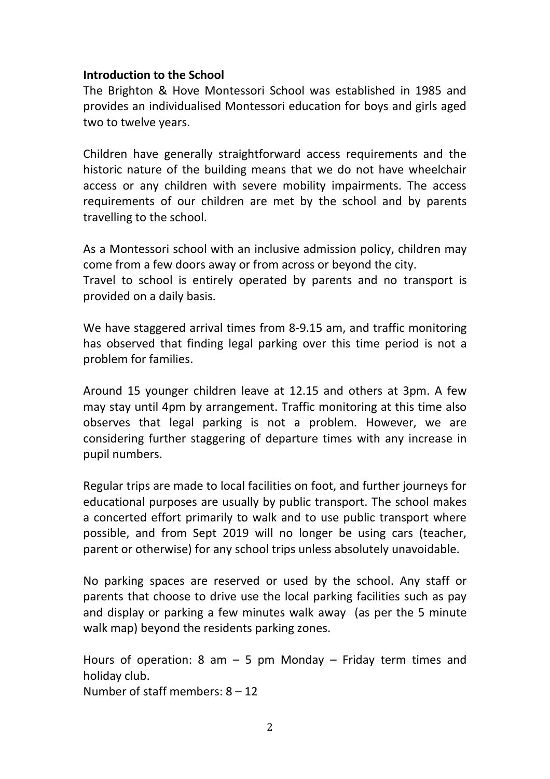#### **Introduction to the School**

The Brighton & Hove Montessori School was established in 1985 and provides an individualised Montessori education for boys and girls aged two to twelve years.

Children have generally straightforward access requirements and the historic nature of the building means that we do not have wheelchair access or any children with severe mobility impairments. The access requirements of our children are met by the school and by parents travelling to the school.

As a Montessori school with an inclusive admission policy, children may come from a few doors away or from across or beyond the city. Travel to school is entirely operated by parents and no transport is provided on a daily basis.

We have staggered arrival times from 8-9.15 am, and traffic monitoring has observed that finding legal parking over this time period is not a problem for families.

Around 15 younger children leave at 12.15 and others at 3pm. A few may stay until 4pm by arrangement. Traffic monitoring at this time also observes that legal parking is not a problem. However, we are considering further staggering of departure times with any increase in pupil numbers.

Regular trips are made to local facilities on foot, and further journeys for educational purposes are usually by public transport. The school makes a concerted effort primarily to walk and to use public transport where possible, and from Sept 2019 will no longer be using cars (teacher, parent or otherwise) for any school trips unless absolutely unavoidable.

No parking spaces are reserved or used by the school. Any staff or parents that choose to drive use the local parking facilities such as pay and display or parking a few minutes walk away (as per the 5 minute walk map) beyond the residents parking zones.

Hours of operation: 8 am  $-$  5 pm Monday  $-$  Friday term times and holiday club.

Number of staff members: 8 – 12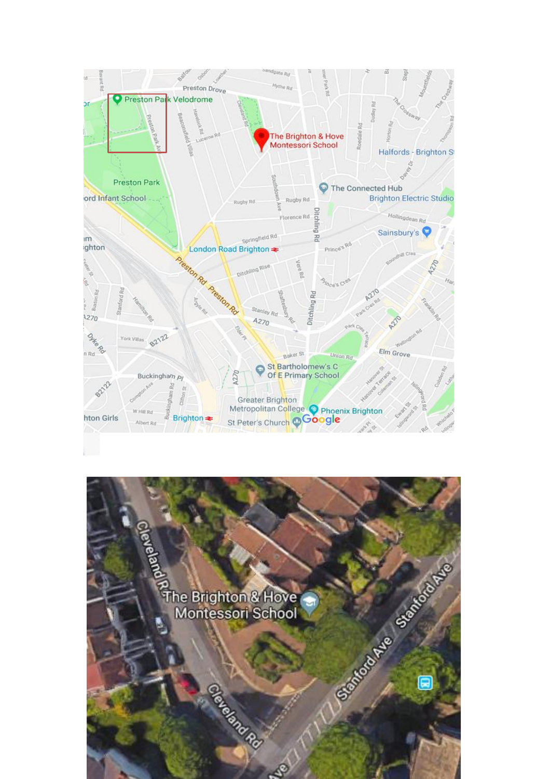

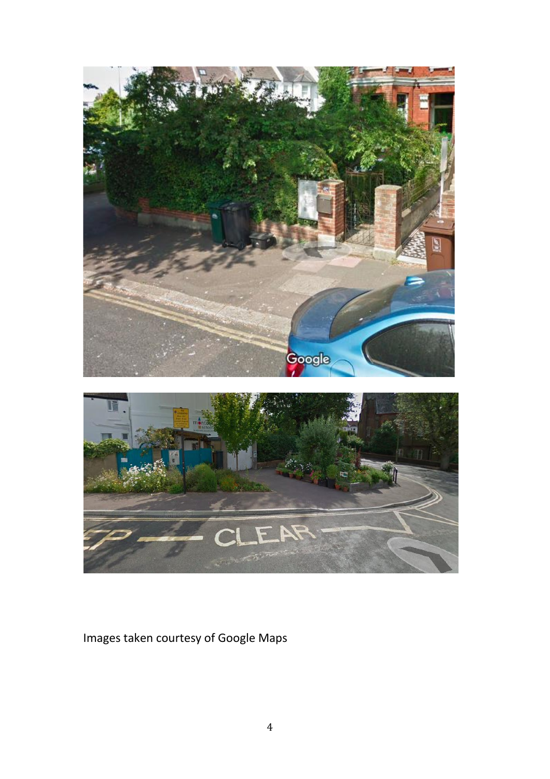

Images taken courtesy of Google Maps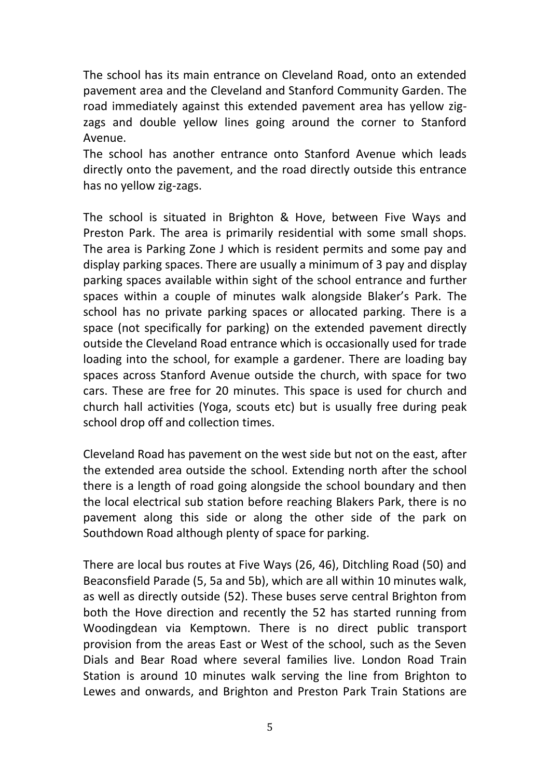The school has its main entrance on Cleveland Road, onto an extended pavement area and the Cleveland and Stanford Community Garden. The road immediately against this extended pavement area has yellow zigzags and double yellow lines going around the corner to Stanford Avenue.

The school has another entrance onto Stanford Avenue which leads directly onto the pavement, and the road directly outside this entrance has no yellow zig-zags.

The school is situated in Brighton & Hove, between Five Ways and Preston Park. The area is primarily residential with some small shops. The area is Parking Zone J which is resident permits and some pay and display parking spaces. There are usually a minimum of 3 pay and display parking spaces available within sight of the school entrance and further spaces within a couple of minutes walk alongside Blaker's Park. The school has no private parking spaces or allocated parking. There is a space (not specifically for parking) on the extended pavement directly outside the Cleveland Road entrance which is occasionally used for trade loading into the school, for example a gardener. There are loading bay spaces across Stanford Avenue outside the church, with space for two cars. These are free for 20 minutes. This space is used for church and church hall activities (Yoga, scouts etc) but is usually free during peak school drop off and collection times.

Cleveland Road has pavement on the west side but not on the east, after the extended area outside the school. Extending north after the school there is a length of road going alongside the school boundary and then the local electrical sub station before reaching Blakers Park, there is no pavement along this side or along the other side of the park on Southdown Road although plenty of space for parking.

There are local bus routes at Five Ways (26, 46), Ditchling Road (50) and Beaconsfield Parade (5, 5a and 5b), which are all within 10 minutes walk, as well as directly outside (52). These buses serve central Brighton from both the Hove direction and recently the 52 has started running from Woodingdean via Kemptown. There is no direct public transport provision from the areas East or West of the school, such as the Seven Dials and Bear Road where several families live. London Road Train Station is around 10 minutes walk serving the line from Brighton to Lewes and onwards, and Brighton and Preston Park Train Stations are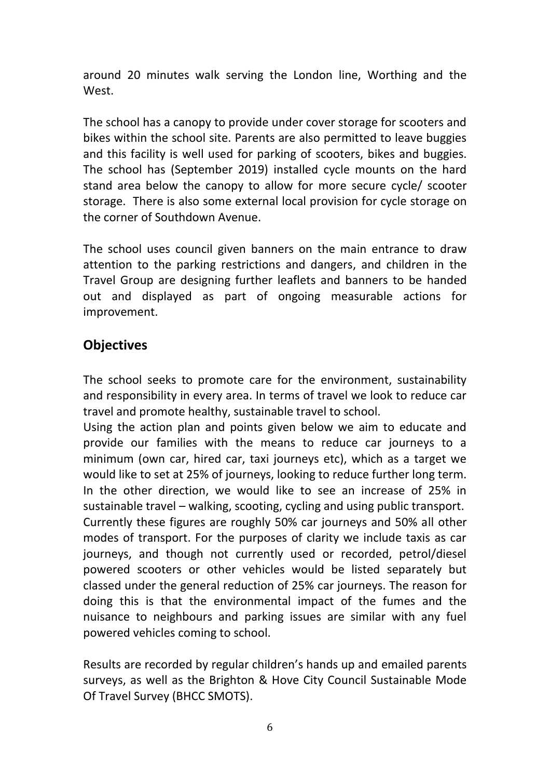around 20 minutes walk serving the London line, Worthing and the West.

The school has a canopy to provide under cover storage for scooters and bikes within the school site. Parents are also permitted to leave buggies and this facility is well used for parking of scooters, bikes and buggies. The school has (September 2019) installed cycle mounts on the hard stand area below the canopy to allow for more secure cycle/ scooter storage. There is also some external local provision for cycle storage on the corner of Southdown Avenue.

The school uses council given banners on the main entrance to draw attention to the parking restrictions and dangers, and children in the Travel Group are designing further leaflets and banners to be handed out and displayed as part of ongoing measurable actions for improvement.

## **Objectives**

The school seeks to promote care for the environment, sustainability and responsibility in every area. In terms of travel we look to reduce car travel and promote healthy, sustainable travel to school.

Using the action plan and points given below we aim to educate and provide our families with the means to reduce car journeys to a minimum (own car, hired car, taxi journeys etc), which as a target we would like to set at 25% of journeys, looking to reduce further long term. In the other direction, we would like to see an increase of 25% in sustainable travel – walking, scooting, cycling and using public transport. Currently these figures are roughly 50% car journeys and 50% all other modes of transport. For the purposes of clarity we include taxis as car journeys, and though not currently used or recorded, petrol/diesel powered scooters or other vehicles would be listed separately but classed under the general reduction of 25% car journeys. The reason for doing this is that the environmental impact of the fumes and the nuisance to neighbours and parking issues are similar with any fuel powered vehicles coming to school.

Results are recorded by regular children's hands up and emailed parents surveys, as well as the Brighton & Hove City Council Sustainable Mode Of Travel Survey (BHCC SMOTS).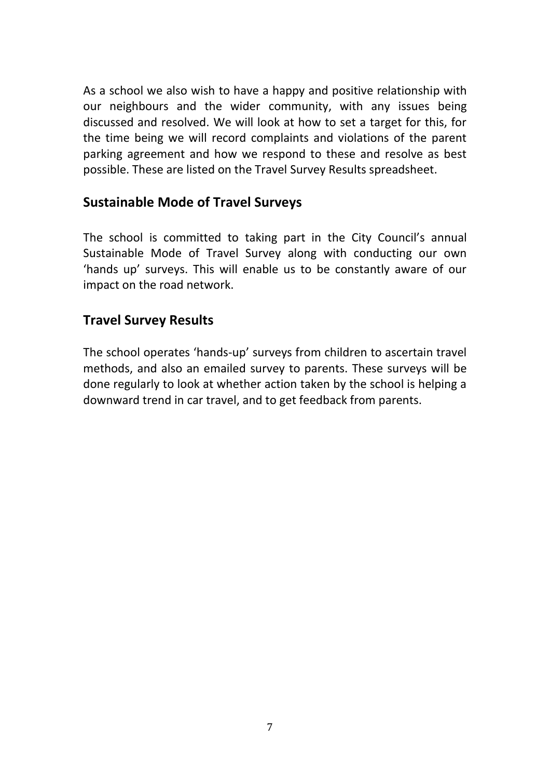As a school we also wish to have a happy and positive relationship with our neighbours and the wider community, with any issues being discussed and resolved. We will look at how to set a target for this, for the time being we will record complaints and violations of the parent parking agreement and how we respond to these and resolve as best possible. These are listed on the Travel Survey Results spreadsheet.

### **Sustainable Mode of Travel Surveys**

The school is committed to taking part in the City Council's annual Sustainable Mode of Travel Survey along with conducting our own 'hands up' surveys. This will enable us to be constantly aware of our impact on the road network.

## **Travel Survey Results**

The school operates 'hands-up' surveys from children to ascertain travel methods, and also an emailed survey to parents. These surveys will be done regularly to look at whether action taken by the school is helping a downward trend in car travel, and to get feedback from parents.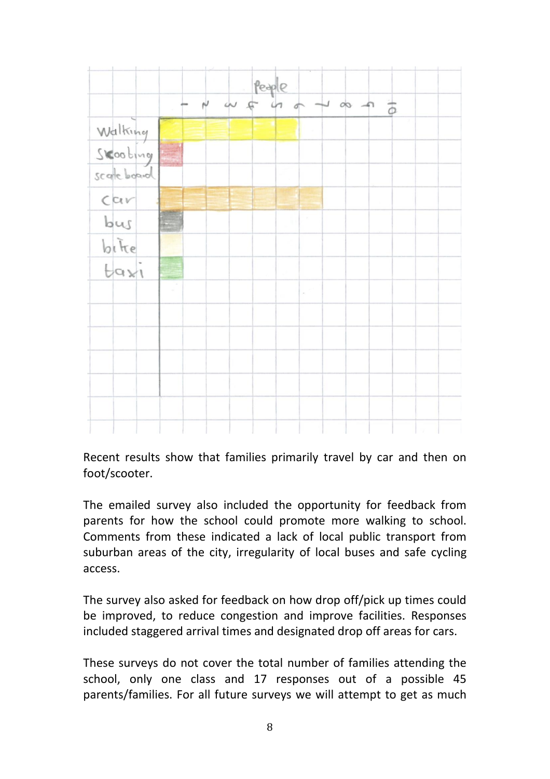

Recent results show that families primarily travel by car and then on foot/scooter.

The emailed survey also included the opportunity for feedback from parents for how the school could promote more walking to school. Comments from these indicated a lack of local public transport from suburban areas of the city, irregularity of local buses and safe cycling access.

The survey also asked for feedback on how drop off/pick up times could be improved, to reduce congestion and improve facilities. Responses included staggered arrival times and designated drop off areas for cars.

These surveys do not cover the total number of families attending the school, only one class and 17 responses out of a possible 45 parents/families. For all future surveys we will attempt to get as much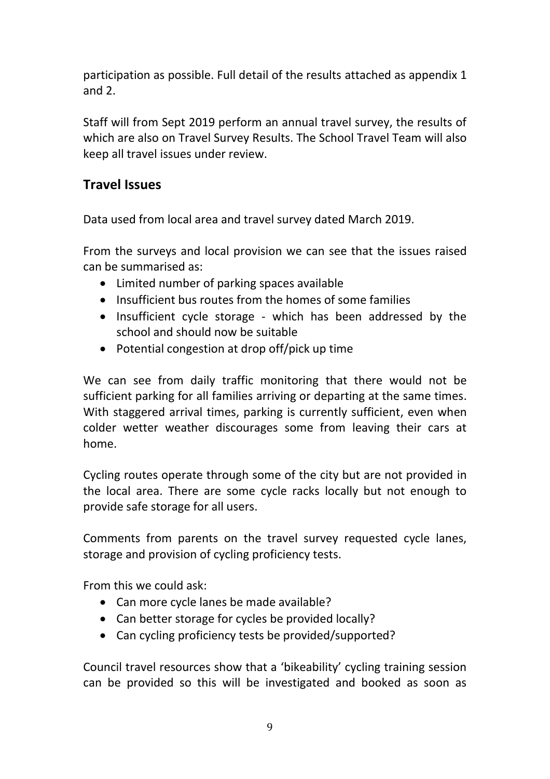participation as possible. Full detail of the results attached as appendix 1 and 2.

Staff will from Sept 2019 perform an annual travel survey, the results of which are also on Travel Survey Results. The School Travel Team will also keep all travel issues under review.

## **Travel Issues**

Data used from local area and travel survey dated March 2019.

From the surveys and local provision we can see that the issues raised can be summarised as:

- Limited number of parking spaces available
- Insufficient bus routes from the homes of some families
- Insufficient cycle storage which has been addressed by the school and should now be suitable
- Potential congestion at drop off/pick up time

We can see from daily traffic monitoring that there would not be sufficient parking for all families arriving or departing at the same times. With staggered arrival times, parking is currently sufficient, even when colder wetter weather discourages some from leaving their cars at home.

Cycling routes operate through some of the city but are not provided in the local area. There are some cycle racks locally but not enough to provide safe storage for all users.

Comments from parents on the travel survey requested cycle lanes, storage and provision of cycling proficiency tests.

From this we could ask:

- Can more cycle lanes be made available?
- Can better storage for cycles be provided locally?
- Can cycling proficiency tests be provided/supported?

Council travel resources show that a 'bikeability' cycling training session can be provided so this will be investigated and booked as soon as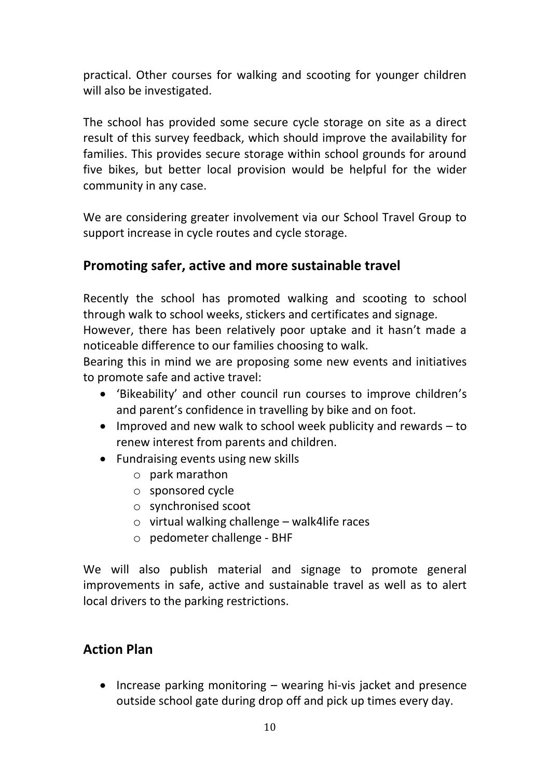practical. Other courses for walking and scooting for younger children will also be investigated.

The school has provided some secure cycle storage on site as a direct result of this survey feedback, which should improve the availability for families. This provides secure storage within school grounds for around five bikes, but better local provision would be helpful for the wider community in any case.

We are considering greater involvement via our School Travel Group to support increase in cycle routes and cycle storage.

## **Promoting safer, active and more sustainable travel**

Recently the school has promoted walking and scooting to school through walk to school weeks, stickers and certificates and signage. However, there has been relatively poor uptake and it hasn't made a noticeable difference to our families choosing to walk.

Bearing this in mind we are proposing some new events and initiatives to promote safe and active travel:

- 'Bikeability' and other council run courses to improve children's and parent's confidence in travelling by bike and on foot.
- Improved and new walk to school week publicity and rewards to renew interest from parents and children.
- Fundraising events using new skills
	- o park marathon
	- o sponsored cycle
	- o synchronised scoot
	- o virtual walking challenge walk4life races
	- o pedometer challenge BHF

We will also publish material and signage to promote general improvements in safe, active and sustainable travel as well as to alert local drivers to the parking restrictions.

## **Action Plan**

• Increase parking monitoring – wearing hi-vis jacket and presence outside school gate during drop off and pick up times every day.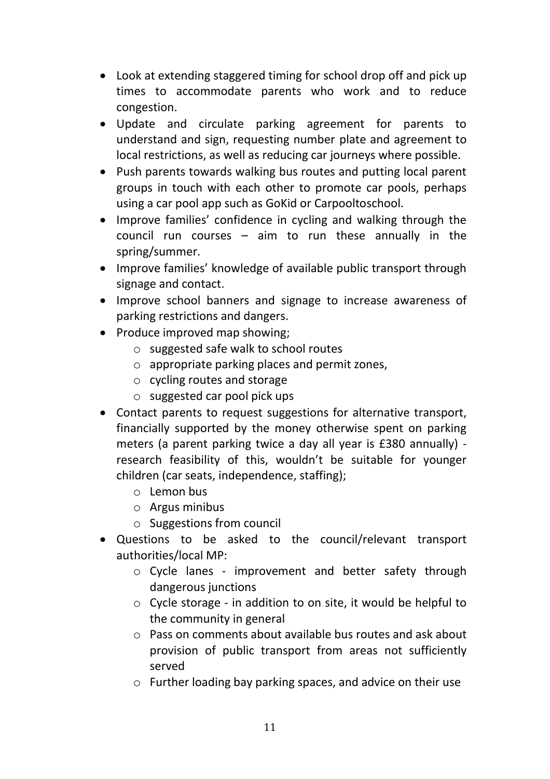- Look at extending staggered timing for school drop off and pick up times to accommodate parents who work and to reduce congestion.
- Update and circulate parking agreement for parents to understand and sign, requesting number plate and agreement to local restrictions, as well as reducing car journeys where possible.
- Push parents towards walking bus routes and putting local parent groups in touch with each other to promote car pools, perhaps using a car pool app such as GoKid or Carpooltoschool.
- Improve families' confidence in cycling and walking through the council run courses  $-$  aim to run these annually in the spring/summer.
- Improve families' knowledge of available public transport through signage and contact.
- Improve school banners and signage to increase awareness of parking restrictions and dangers.
- Produce improved map showing;
	- o suggested safe walk to school routes
	- o appropriate parking places and permit zones,
	- o cycling routes and storage
	- o suggested car pool pick ups
- Contact parents to request suggestions for alternative transport, financially supported by the money otherwise spent on parking meters (a parent parking twice a day all year is £380 annually) research feasibility of this, wouldn't be suitable for younger children (car seats, independence, staffing);
	- o Lemon bus
	- o Argus minibus
	- o Suggestions from council
- Questions to be asked to the council/relevant transport authorities/local MP:
	- o Cycle lanes improvement and better safety through dangerous junctions
	- o Cycle storage in addition to on site, it would be helpful to the community in general
	- o Pass on comments about available bus routes and ask about provision of public transport from areas not sufficiently served
	- o Further loading bay parking spaces, and advice on their use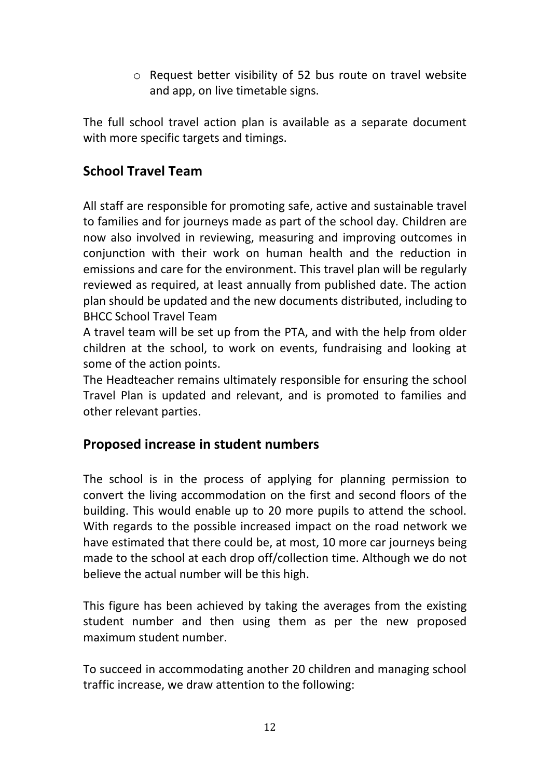o Request better visibility of 52 bus route on travel website and app, on live timetable signs.

The full school travel action plan is available as a separate document with more specific targets and timings.

## **School Travel Team**

All staff are responsible for promoting safe, active and sustainable travel to families and for journeys made as part of the school day. Children are now also involved in reviewing, measuring and improving outcomes in conjunction with their work on human health and the reduction in emissions and care for the environment. This travel plan will be regularly reviewed as required, at least annually from published date. The action plan should be updated and the new documents distributed, including to BHCC School Travel Team

A travel team will be set up from the PTA, and with the help from older children at the school, to work on events, fundraising and looking at some of the action points.

The Headteacher remains ultimately responsible for ensuring the school Travel Plan is updated and relevant, and is promoted to families and other relevant parties.

## **Proposed increase in student numbers**

The school is in the process of applying for planning permission to convert the living accommodation on the first and second floors of the building. This would enable up to 20 more pupils to attend the school. With regards to the possible increased impact on the road network we have estimated that there could be, at most, 10 more car journeys being made to the school at each drop off/collection time. Although we do not believe the actual number will be this high.

This figure has been achieved by taking the averages from the existing student number and then using them as per the new proposed maximum student number.

To succeed in accommodating another 20 children and managing school traffic increase, we draw attention to the following: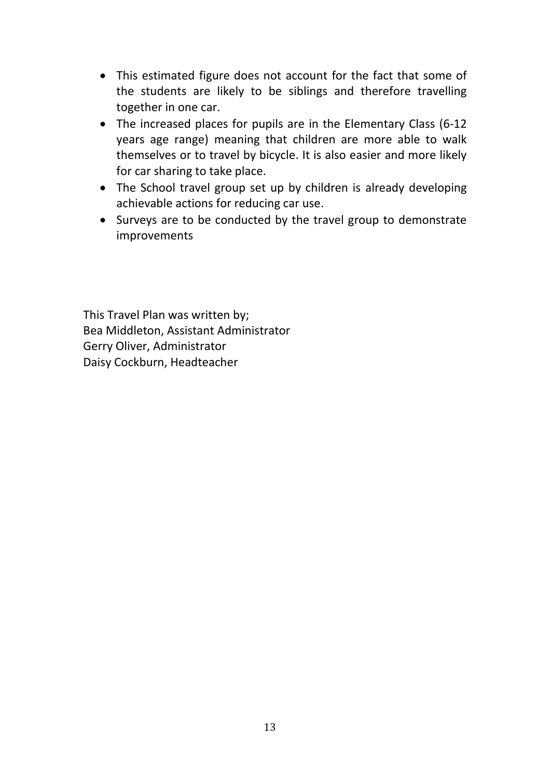- This estimated figure does not account for the fact that some of the students are likely to be siblings and therefore travelling together in one car.
- The increased places for pupils are in the Elementary Class (6-12 years age range) meaning that children are more able to walk themselves or to travel by bicycle. It is also easier and more likely for car sharing to take place.
- The School travel group set up by children is already developing achievable actions for reducing car use.
- Surveys are to be conducted by the travel group to demonstrate improvements

This Travel Plan was written by; Bea Middleton, Assistant Administrator Gerry Oliver, Administrator Daisy Cockburn, Headteacher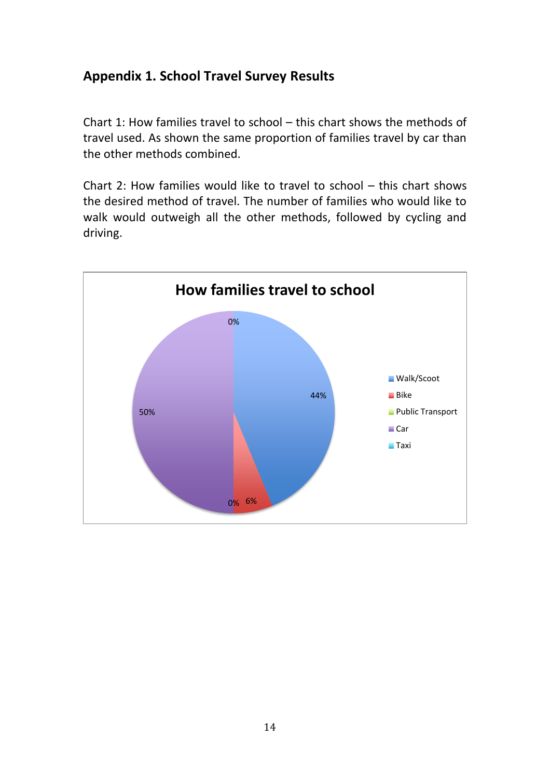## **Appendix 1. School Travel Survey Results**

Chart 1: How families travel to school – this chart shows the methods of travel used. As shown the same proportion of families travel by car than the other methods combined.

Chart 2: How families would like to travel to school – this chart shows the desired method of travel. The number of families who would like to walk would outweigh all the other methods, followed by cycling and driving.

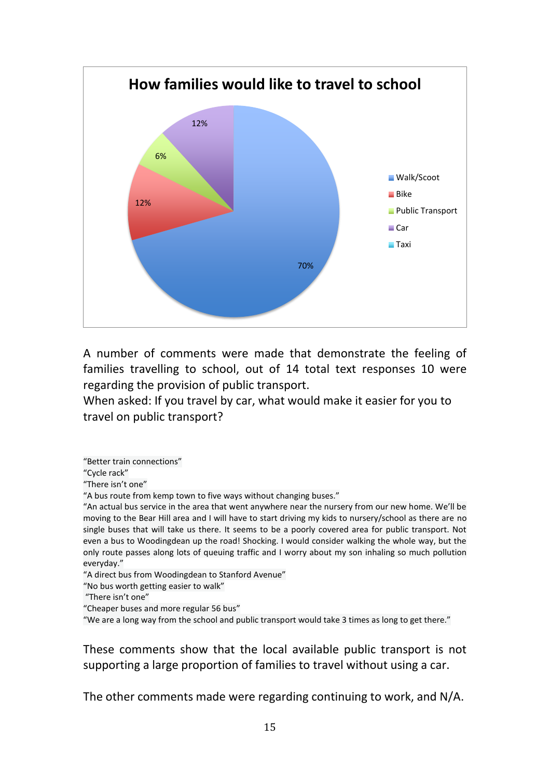

A number of comments were made that demonstrate the feeling of families travelling to school, out of 14 total text responses 10 were regarding the provision of public transport.

When asked: If you travel by car, what would make it easier for you to travel on public transport?

"Better train connections"

"Cycle rack"

"There isn't one"

"A bus route from kemp town to five ways without changing buses."

"An actual bus service in the area that went anywhere near the nursery from our new home. We'll be moving to the Bear Hill area and I will have to start driving my kids to nursery/school as there are no single buses that will take us there. It seems to be a poorly covered area for public transport. Not even a bus to Woodingdean up the road! Shocking. I would consider walking the whole way, but the only route passes along lots of queuing traffic and I worry about my son inhaling so much pollution everyday."

"A direct bus from Woodingdean to Stanford Avenue"

"No bus worth getting easier to walk"

"There isn't one"

"Cheaper buses and more regular 56 bus"

"We are a long way from the school and public transport would take 3 times as long to get there."

These comments show that the local available public transport is not supporting a large proportion of families to travel without using a car.

The other comments made were regarding continuing to work, and N/A.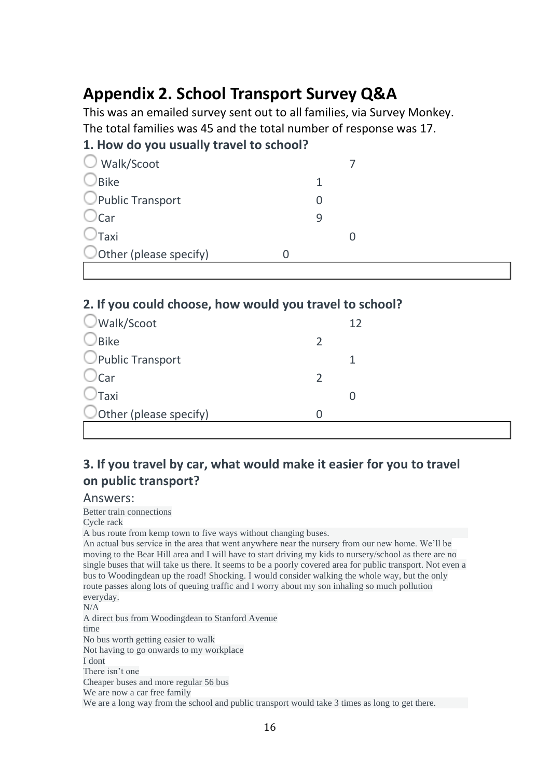# **Appendix 2. School Transport Survey Q&A**

This was an emailed survey sent out to all families, via Survey Monkey. The total families was 45 and the total number of response was 17. **1. How do you usually travel to school?**

| <b>1. How as you asually clavel to scribble</b> |   |  |  |  |  |  |
|-------------------------------------------------|---|--|--|--|--|--|
| ◯ Walk/Scoot                                    |   |  |  |  |  |  |
| $\bigcirc$ Bike                                 |   |  |  |  |  |  |
| O Public Transport                              |   |  |  |  |  |  |
| $\bigcirc$ car                                  | 9 |  |  |  |  |  |
| $\Box$ Taxi                                     |   |  |  |  |  |  |
| Oother (please specify)                         |   |  |  |  |  |  |
|                                                 |   |  |  |  |  |  |

#### **2. If you could choose, how would you travel to school?**

| Walk/Scoot              | 12 |
|-------------------------|----|
| $\cup$ Bike             |    |
| O Public Transport      |    |
| $\cup$ Car              |    |
| <sup>)</sup> Taxi       |    |
| Oother (please specify) |    |
|                         |    |

## **3. If you travel by car, what would make it easier for you to travel on public transport?**

#### Answers:

Better train connections

Cycle rack

A bus route from kemp town to five ways without changing buses.

An actual bus service in the area that went anywhere near the nursery from our new home. We'll be moving to the Bear Hill area and I will have to start driving my kids to nursery/school as there are no single buses that will take us there. It seems to be a poorly covered area for public transport. Not even a bus to Woodingdean up the road! Shocking. I would consider walking the whole way, but the only route passes along lots of queuing traffic and I worry about my son inhaling so much pollution everyday.

N/A A direct bus from Woodingdean to Stanford Avenue time No bus worth getting easier to walk Not having to go onwards to my workplace I dont There isn't one Cheaper buses and more regular 56 bus We are now a car free family We are a long way from the school and public transport would take 3 times as long to get there.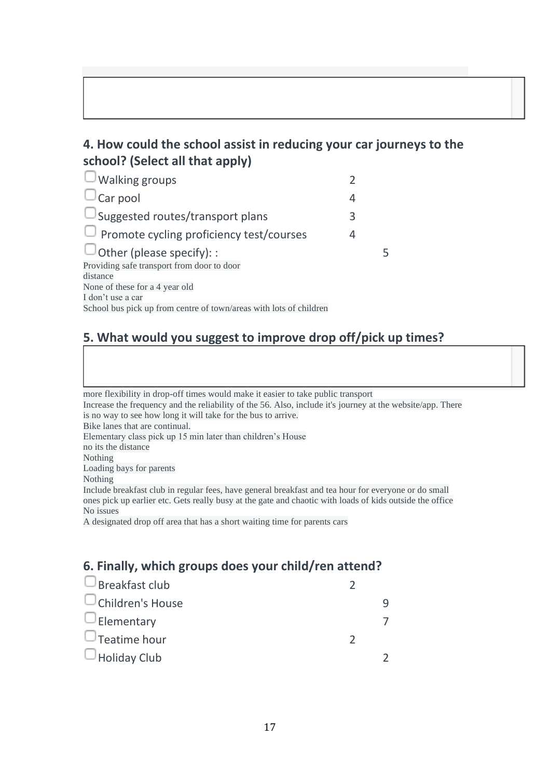## **4. How could the school assist in reducing your car journeys to the school? (Select all that apply)**

| $\Box$ Walking groups                                              |   |   |
|--------------------------------------------------------------------|---|---|
| $\Box$ Car pool                                                    | 4 |   |
| □ Suggested routes/transport plans                                 | 3 |   |
| $\Box$ Promote cycling proficiency test/courses                    | 4 |   |
| $\Box$ Other (please specify): :                                   |   | 5 |
| Providing safe transport from door to door<br>distance             |   |   |
| None of these for a 4 year old                                     |   |   |
| I don't use a car                                                  |   |   |
| School bus pick up from centre of town/areas with lots of children |   |   |

## **5. What would you suggest to improve drop off/pick up times?**

more flexibility in drop-off times would make it easier to take public transport Increase the frequency and the reliability of the 56. Also, include it's journey at the website/app. There is no way to see how long it will take for the bus to arrive. Bike lanes that are continual. Elementary class pick up 15 min later than children's House no its the distance Nothing Loading bays for parents Nothing Include breakfast club in regular fees, have general breakfast and tea hour for everyone or do small ones pick up earlier etc. Gets really busy at the gate and chaotic with loads of kids outside the office No issues A designated drop off area that has a short waiting time for parents cars

### **6. Finally, which groups does your child/ren attend?**

| $\Box$ Breakfast club   |  |
|-------------------------|--|
| $\Box$ Children's House |  |
| $\Box$ Elementary       |  |
| $\Box$ Teatime hour     |  |
| $\Box$ Holiday Club     |  |